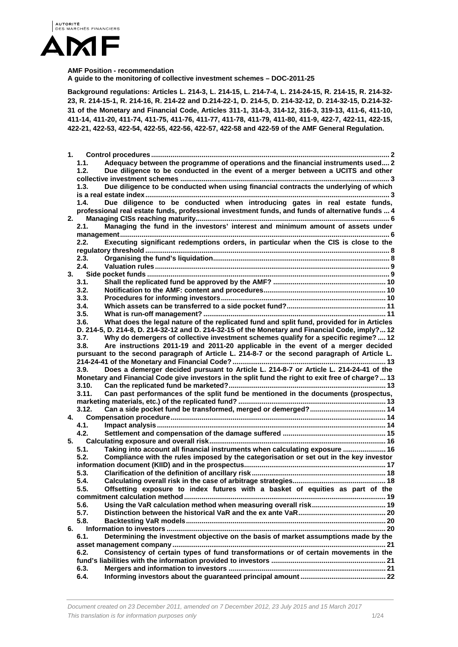

#### **AMF Position - recommendation**

**A guide to the monitoring of collective investment schemes – DOC-2011-25** 

**Background regulations: Articles L. 214-3, L. 214-15, L. 214-7-4, L. 214-24-15, R. 214-15, R. 214-32- 23, R. 214-15-1, R. 214-16, R. 214-22 and D.214-22-1, D. 214-5, D. 214-32-12, D. 214-32-15, D.214-32- 31 of the Monetary and Financial Code, Articles 311-1, 314-3, 314-12, 316-3, 319-13, 411-6, 411-10, 411-14, 411-20, 411-74, 411-75, 411-76, 411-77, 411-78, 411-79, 411-80, 411-9, 422-7, 422-11, 422-15, 422-21, 422-53, 422-54, 422-55, 422-56, 422-57, 422-58 and 422-59 of the AMF General Regulation.** 

| 1. |       |                                                                                                    |  |
|----|-------|----------------------------------------------------------------------------------------------------|--|
|    | 1.1.  | Adequacy between the programme of operations and the financial instruments used 2                  |  |
|    | 1.2.  | Due diligence to be conducted in the event of a merger between a UCITS and other                   |  |
|    |       |                                                                                                    |  |
|    | 1.3.  | Due diligence to be conducted when using financial contracts the underlying of which               |  |
|    |       |                                                                                                    |  |
|    | 1.4.  | Due diligence to be conducted when introducing gates in real estate funds,                         |  |
|    |       | professional real estate funds, professional investment funds, and funds of alternative funds  4   |  |
| 2. |       |                                                                                                    |  |
|    | 2.1.  | Managing the fund in the investors' interest and minimum amount of assets under                    |  |
|    | 2.2.  | Executing significant redemptions orders, in particular when the CIS is close to the               |  |
|    |       |                                                                                                    |  |
|    | 2.3.  |                                                                                                    |  |
|    | 2.4.  |                                                                                                    |  |
| 3. |       |                                                                                                    |  |
|    | 3.1.  |                                                                                                    |  |
|    | 3.2.  |                                                                                                    |  |
|    | 3.3.  |                                                                                                    |  |
|    | 3.4.  |                                                                                                    |  |
|    | 3.5.  |                                                                                                    |  |
|    | 3.6.  | What does the legal nature of the replicated fund and split fund, provided for in Articles         |  |
|    |       | D. 214-5, D. 214-8, D. 214-32-12 and D. 214-32-15 of the Monetary and Financial Code, imply? 12    |  |
|    | 3.7.  | Why do demergers of collective investment schemes qualify for a specific regime?  12               |  |
|    | 3.8.  | Are instructions 2011-19 and 2011-20 applicable in the event of a merger decided                   |  |
|    |       | pursuant to the second paragraph of Article L. 214-8-7 or the second paragraph of Article L.       |  |
|    |       | Does a demerger decided pursuant to Article L. 214-8-7 or Article L. 214-24-41 of the              |  |
|    | 3.9.  | Monetary and Financial Code give investors in the split fund the right to exit free of charge?  13 |  |
|    | 3.10. |                                                                                                    |  |
|    | 3.11. | Can past performances of the split fund be mentioned in the documents (prospectus,                 |  |
|    |       |                                                                                                    |  |
|    | 3.12. |                                                                                                    |  |
| 4. |       |                                                                                                    |  |
|    | 4.1.  |                                                                                                    |  |
|    | 4.2.  |                                                                                                    |  |
| 5. |       |                                                                                                    |  |
|    | 5.1.  | Taking into account all financial instruments when calculating exposure  16                        |  |
|    | 5.2.  | Compliance with the rules imposed by the categorisation or set out in the key investor             |  |
|    |       |                                                                                                    |  |
|    | 5.3.  |                                                                                                    |  |
|    | 5.4.  |                                                                                                    |  |
|    | 5.5.  | Offsetting exposure to index futures with a basket of equities as part of the                      |  |
|    |       |                                                                                                    |  |
|    | 5.6.  |                                                                                                    |  |
|    | 5.7.  |                                                                                                    |  |
|    | 5.8.  |                                                                                                    |  |
| 6. |       |                                                                                                    |  |
|    | 6.1.  | Determining the investment objective on the basis of market assumptions made by the                |  |
|    | 6.2.  | Consistency of certain types of fund transformations or of certain movements in the                |  |
|    |       |                                                                                                    |  |
|    | 6.3.  |                                                                                                    |  |
|    | 6.4.  |                                                                                                    |  |
|    |       |                                                                                                    |  |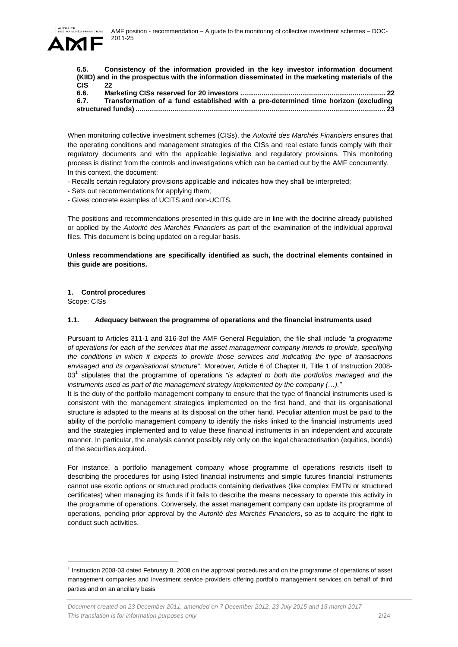

**6.5. Consistency of the information provided in the key investor information document (KIID) and in the prospectus with the information disseminated in the marketing materials of the CIS 22**

| 6.6. |                                                                                    |  |
|------|------------------------------------------------------------------------------------|--|
| 6.7. | Transformation of a fund established with a pre-determined time horizon (excluding |  |
|      |                                                                                    |  |

When monitoring collective investment schemes (CISs), the *Autorité des Marchés Financiers* ensures that the operating conditions and management strategies of the CISs and real estate funds comply with their regulatory documents and with the applicable legislative and regulatory provisions. This monitoring process is distinct from the controls and investigations which can be carried out by the AMF concurrently. In this context, the document:

- Recalls certain regulatory provisions applicable and indicates how they shall be interpreted;
- Sets out recommendations for applying them;
- Gives concrete examples of UCITS and non-UCITS.

The positions and recommendations presented in this guide are in line with the doctrine already published or applied by the *Autorité des Marchés Financiers* as part of the examination of the individual approval files. This document is being updated on a regular basis.

## **Unless recommendations are specifically identified as such, the doctrinal elements contained in this guide are positions.**

# **1. Control procedures**

Scope: CISs

l

## **1.1. Adequacy between the programme of operations and the financial instruments used**

Pursuant to Articles 311-1 and 316-3of the AMF General Regulation, the file shall include *"a programme of operations for each of the services that the asset management company intends to provide, specifying the conditions in which it expects to provide those services and indicating the type of transactions envisaged and its organisational structure"*. Moreover, Article 6 of Chapter II, Title 1 of Instruction 2008- 03<sup>1</sup> stipulates that the programme of operations "is adapted to both the portfolios managed and the *instruments used as part of the management strategy implemented by the company (…)."*

It is the duty of the portfolio management company to ensure that the type of financial instruments used is consistent with the management strategies implemented on the first hand, and that its organisational structure is adapted to the means at its disposal on the other hand. Peculiar attention must be paid to the ability of the portfolio management company to identify the risks linked to the financial instruments used and the strategies implemented and to value these financial instruments in an independent and accurate manner. In particular, the analysis cannot possibly rely only on the legal characterisation (equities, bonds) of the securities acquired.

For instance, a portfolio management company whose programme of operations restricts itself to describing the procedures for using listed financial instruments and simple futures financial instruments cannot use exotic options or structured products containing derivatives (like complex EMTN or structured certificates) when managing its funds if it fails to describe the means necessary to operate this activity in the programme of operations. Conversely, the asset management company can update its programme of operations, pending prior approval by the *Autorité des Marchés Financiers*, so as to acquire the right to conduct such activities.

 $<sup>1</sup>$  Instruction 2008-03 dated February 8, 2008 on the approval procedures and on the programme of operations of asset</sup> management companies and investment service providers offering portfolio management services on behalf of third parties and on an ancillary basis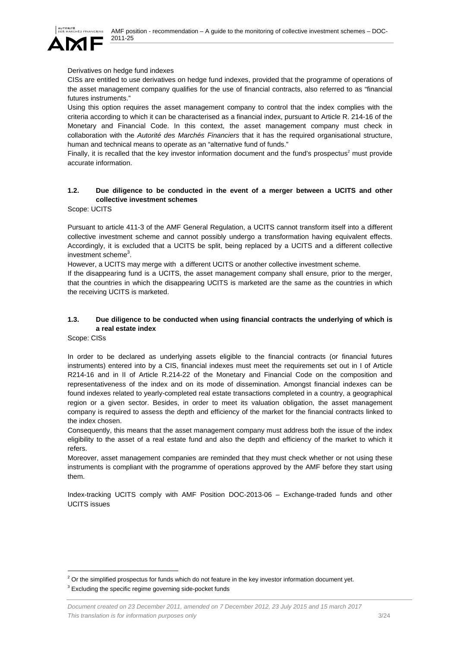

## Derivatives on hedge fund indexes

CISs are entitled to use derivatives on hedge fund indexes, provided that the programme of operations of the asset management company qualifies for the use of financial contracts, also referred to as "financial futures instruments."

Using this option requires the asset management company to control that the index complies with the criteria according to which it can be characterised as a financial index, pursuant to Article R. 214-16 of the Monetary and Financial Code. In this context, the asset management company must check in collaboration with the *Autorité des Marchés Financiers* that it has the required organisational structure, human and technical means to operate as an "alternative fund of funds."

Finally, it is recalled that the key investor information document and the fund's prospectus<sup>2</sup> must provide accurate information.

# **1.2. Due diligence to be conducted in the event of a merger between a UCITS and other collective investment schemes**

Scope: UCITS

Pursuant to article 411-3 of the AMF General Regulation, a UCITS cannot transform itself into a different collective investment scheme and cannot possibly undergo a transformation having equivalent effects. Accordingly, it is excluded that a UCITS be split, being replaced by a UCITS and a different collective investment scheme<sup>3</sup>.

However, a UCITS may merge with a different UCITS or another collective investment scheme.

If the disappearing fund is a UCITS, the asset management company shall ensure, prior to the merger, that the countries in which the disappearing UCITS is marketed are the same as the countries in which the receiving UCITS is marketed.

# **1.3. Due diligence to be conducted when using financial contracts the underlying of which is a real estate index**

Scope: CISs

l

In order to be declared as underlying assets eligible to the financial contracts (or financial futures instruments) entered into by a CIS, financial indexes must meet the requirements set out in I of Article R214-16 and in II of Article R.214-22 of the Monetary and Financial Code on the composition and representativeness of the index and on its mode of dissemination. Amongst financial indexes can be found indexes related to yearly-completed real estate transactions completed in a country, a geographical region or a given sector. Besides, in order to meet its valuation obligation, the asset management company is required to assess the depth and efficiency of the market for the financial contracts linked to the index chosen.

Consequently, this means that the asset management company must address both the issue of the index eligibility to the asset of a real estate fund and also the depth and efficiency of the market to which it refers.

Moreover, asset management companies are reminded that they must check whether or not using these instruments is compliant with the programme of operations approved by the AMF before they start using them.

Index-tracking UCITS comply with AMF Position DOC-2013-06 – Exchange-traded funds and other UCITS issues

 $2$  Or the simplified prospectus for funds which do not feature in the key investor information document yet.

 $3$  Excluding the specific regime governing side-pocket funds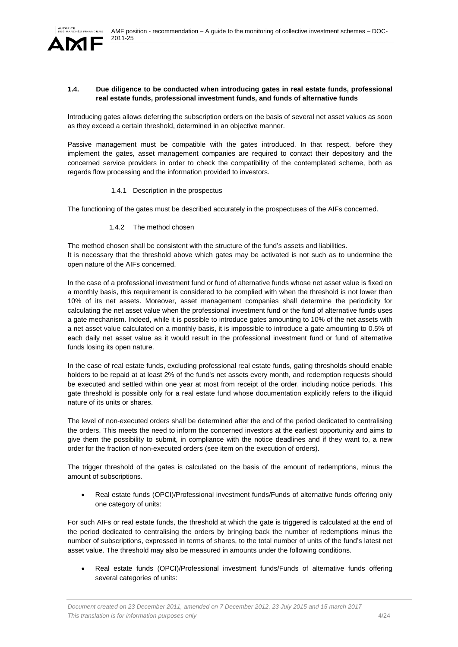

### **1.4. Due diligence to be conducted when introducing gates in real estate funds, professional real estate funds, professional investment funds, and funds of alternative funds**

Introducing gates allows deferring the subscription orders on the basis of several net asset values as soon as they exceed a certain threshold, determined in an objective manner.

Passive management must be compatible with the gates introduced. In that respect, before they implement the gates, asset management companies are required to contact their depository and the concerned service providers in order to check the compatibility of the contemplated scheme, both as regards flow processing and the information provided to investors.

1.4.1 Description in the prospectus

The functioning of the gates must be described accurately in the prospectuses of the AIFs concerned.

1.4.2 The method chosen

The method chosen shall be consistent with the structure of the fund's assets and liabilities. It is necessary that the threshold above which gates may be activated is not such as to undermine the open nature of the AIFs concerned.

In the case of a professional investment fund or fund of alternative funds whose net asset value is fixed on a monthly basis, this requirement is considered to be complied with when the threshold is not lower than 10% of its net assets. Moreover, asset management companies shall determine the periodicity for calculating the net asset value when the professional investment fund or the fund of alternative funds uses a gate mechanism. Indeed, while it is possible to introduce gates amounting to 10% of the net assets with a net asset value calculated on a monthly basis, it is impossible to introduce a gate amounting to 0.5% of each daily net asset value as it would result in the professional investment fund or fund of alternative funds losing its open nature.

In the case of real estate funds, excluding professional real estate funds, gating thresholds should enable holders to be repaid at at least 2% of the fund's net assets every month, and redemption requests should be executed and settled within one year at most from receipt of the order, including notice periods. This gate threshold is possible only for a real estate fund whose documentation explicitly refers to the illiquid nature of its units or shares.

The level of non-executed orders shall be determined after the end of the period dedicated to centralising the orders. This meets the need to inform the concerned investors at the earliest opportunity and aims to give them the possibility to submit, in compliance with the notice deadlines and if they want to, a new order for the fraction of non-executed orders (see item on the execution of orders).

The trigger threshold of the gates is calculated on the basis of the amount of redemptions, minus the amount of subscriptions.

 Real estate funds (OPCI)/Professional investment funds/Funds of alternative funds offering only one category of units:

For such AIFs or real estate funds, the threshold at which the gate is triggered is calculated at the end of the period dedicated to centralising the orders by bringing back the number of redemptions minus the number of subscriptions, expressed in terms of shares, to the total number of units of the fund's latest net asset value. The threshold may also be measured in amounts under the following conditions.

 Real estate funds (OPCI)/Professional investment funds/Funds of alternative funds offering several categories of units: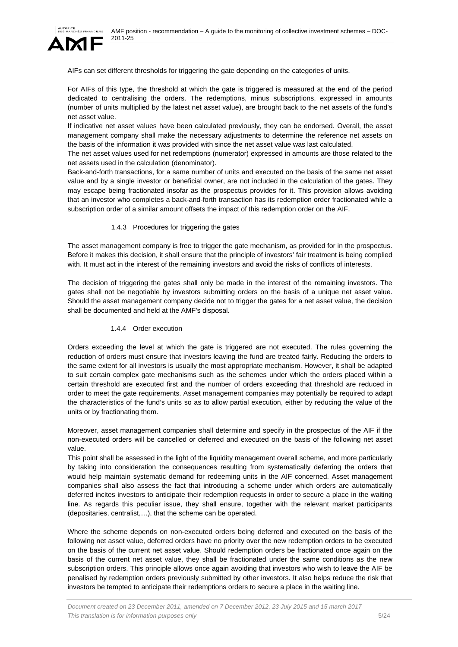

AIFs can set different thresholds for triggering the gate depending on the categories of units.

For AIFs of this type, the threshold at which the gate is triggered is measured at the end of the period dedicated to centralising the orders. The redemptions, minus subscriptions, expressed in amounts (number of units multiplied by the latest net asset value), are brought back to the net assets of the fund's net asset value.

If indicative net asset values have been calculated previously, they can be endorsed. Overall, the asset management company shall make the necessary adjustments to determine the reference net assets on the basis of the information it was provided with since the net asset value was last calculated.

The net asset values used for net redemptions (numerator) expressed in amounts are those related to the net assets used in the calculation (denominator).

Back-and-forth transactions, for a same number of units and executed on the basis of the same net asset value and by a single investor or beneficial owner, are not included in the calculation of the gates. They may escape being fractionated insofar as the prospectus provides for it. This provision allows avoiding that an investor who completes a back-and-forth transaction has its redemption order fractionated while a subscription order of a similar amount offsets the impact of this redemption order on the AIF.

#### 1.4.3 Procedures for triggering the gates

The asset management company is free to trigger the gate mechanism, as provided for in the prospectus. Before it makes this decision, it shall ensure that the principle of investors' fair treatment is being complied with. It must act in the interest of the remaining investors and avoid the risks of conflicts of interests.

The decision of triggering the gates shall only be made in the interest of the remaining investors. The gates shall not be negotiable by investors submitting orders on the basis of a unique net asset value. Should the asset management company decide not to trigger the gates for a net asset value, the decision shall be documented and held at the AMF's disposal.

# 1.4.4 Order execution

Orders exceeding the level at which the gate is triggered are not executed. The rules governing the reduction of orders must ensure that investors leaving the fund are treated fairly. Reducing the orders to the same extent for all investors is usually the most appropriate mechanism. However, it shall be adapted to suit certain complex gate mechanisms such as the schemes under which the orders placed within a certain threshold are executed first and the number of orders exceeding that threshold are reduced in order to meet the gate requirements. Asset management companies may potentially be required to adapt the characteristics of the fund's units so as to allow partial execution, either by reducing the value of the units or by fractionating them.

Moreover, asset management companies shall determine and specify in the prospectus of the AIF if the non-executed orders will be cancelled or deferred and executed on the basis of the following net asset value.

This point shall be assessed in the light of the liquidity management overall scheme, and more particularly by taking into consideration the consequences resulting from systematically deferring the orders that would help maintain systematic demand for redeeming units in the AIF concerned. Asset management companies shall also assess the fact that introducing a scheme under which orders are automatically deferred incites investors to anticipate their redemption requests in order to secure a place in the waiting line. As regards this peculiar issue, they shall ensure, together with the relevant market participants (depositaries, centralist,…), that the scheme can be operated.

Where the scheme depends on non-executed orders being deferred and executed on the basis of the following net asset value, deferred orders have no priority over the new redemption orders to be executed on the basis of the current net asset value. Should redemption orders be fractionated once again on the basis of the current net asset value, they shall be fractionated under the same conditions as the new subscription orders. This principle allows once again avoiding that investors who wish to leave the AIF be penalised by redemption orders previously submitted by other investors. It also helps reduce the risk that investors be tempted to anticipate their redemptions orders to secure a place in the waiting line.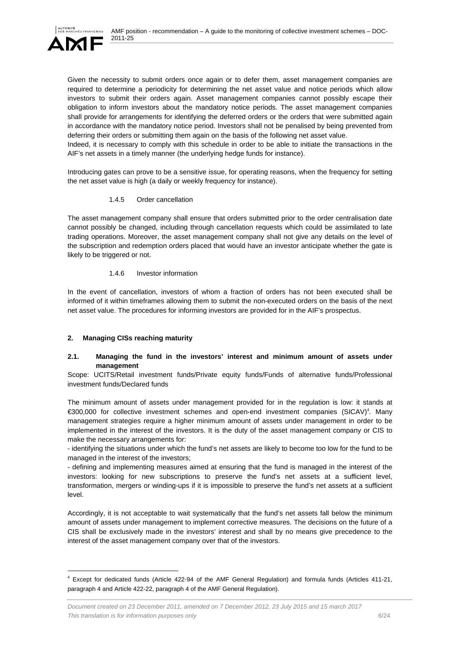

Given the necessity to submit orders once again or to defer them, asset management companies are required to determine a periodicity for determining the net asset value and notice periods which allow investors to submit their orders again. Asset management companies cannot possibly escape their obligation to inform investors about the mandatory notice periods. The asset management companies shall provide for arrangements for identifying the deferred orders or the orders that were submitted again in accordance with the mandatory notice period. Investors shall not be penalised by being prevented from deferring their orders or submitting them again on the basis of the following net asset value.

Indeed, it is necessary to comply with this schedule in order to be able to initiate the transactions in the AIF's net assets in a timely manner (the underlying hedge funds for instance).

Introducing gates can prove to be a sensitive issue, for operating reasons, when the frequency for setting the net asset value is high (a daily or weekly frequency for instance).

#### 1.4.5 Order cancellation

The asset management company shall ensure that orders submitted prior to the order centralisation date cannot possibly be changed, including through cancellation requests which could be assimilated to late trading operations. Moreover, the asset management company shall not give any details on the level of the subscription and redemption orders placed that would have an investor anticipate whether the gate is likely to be triggered or not.

## 1.4.6 Investor information

In the event of cancellation, investors of whom a fraction of orders has not been executed shall be informed of it within timeframes allowing them to submit the non-executed orders on the basis of the next net asset value. The procedures for informing investors are provided for in the AIF's prospectus.

# **2. Managing CISs reaching maturity**

l

## **2.1. Managing the fund in the investors' interest and minimum amount of assets under management**

Scope: UCITS/Retail investment funds/Private equity funds/Funds of alternative funds/Professional investment funds/Declared funds

The minimum amount of assets under management provided for in the regulation is low: it stands at €300,000 for collective investment schemes and open-end investment companies (SICAV)4 . Many management strategies require a higher minimum amount of assets under management in order to be implemented in the interest of the investors. It is the duty of the asset management company or CIS to make the necessary arrangements for:

- identifying the situations under which the fund's net assets are likely to become too low for the fund to be managed in the interest of the investors;

- defining and implementing measures aimed at ensuring that the fund is managed in the interest of the investors: looking for new subscriptions to preserve the fund's net assets at a sufficient level, transformation, mergers or winding-ups if it is impossible to preserve the fund's net assets at a sufficient level.

Accordingly, it is not acceptable to wait systematically that the fund's net assets fall below the minimum amount of assets under management to implement corrective measures. The decisions on the future of a CIS shall be exclusively made in the investors' interest and shall by no means give precedence to the interest of the asset management company over that of the investors.

<sup>4</sup> Except for dedicated funds (Article 422-94 of the AMF General Regulation) and formula funds (Articles 411-21, paragraph 4 and Article 422-22, paragraph 4 of the AMF General Regulation).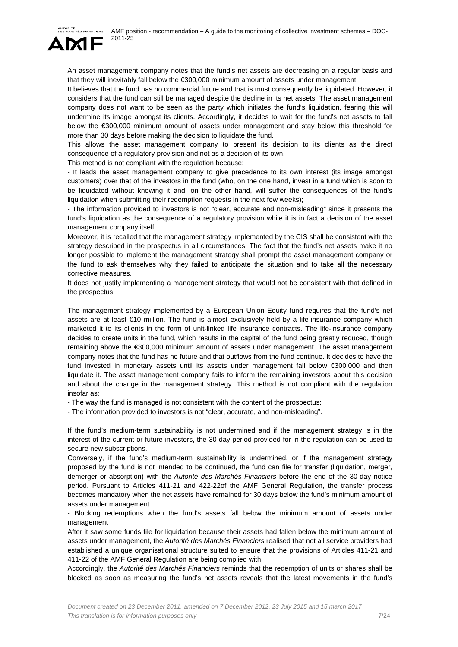

An asset management company notes that the fund's net assets are decreasing on a regular basis and that they will inevitably fall below the €300,000 minimum amount of assets under management.

It believes that the fund has no commercial future and that is must consequently be liquidated. However, it considers that the fund can still be managed despite the decline in its net assets. The asset management company does not want to be seen as the party which initiates the fund's liquidation, fearing this will undermine its image amongst its clients. Accordingly, it decides to wait for the fund's net assets to fall below the €300,000 minimum amount of assets under management and stay below this threshold for more than 30 days before making the decision to liquidate the fund.

This allows the asset management company to present its decision to its clients as the direct consequence of a regulatory provision and not as a decision of its own.

This method is not compliant with the regulation because:

- It leads the asset management company to give precedence to its own interest (its image amongst customers) over that of the investors in the fund (who, on the one hand, invest in a fund which is soon to be liquidated without knowing it and, on the other hand, will suffer the consequences of the fund's liquidation when submitting their redemption requests in the next few weeks);

- The information provided to investors is not "clear, accurate and non-misleading" since it presents the fund's liquidation as the consequence of a regulatory provision while it is in fact a decision of the asset management company itself.

Moreover, it is recalled that the management strategy implemented by the CIS shall be consistent with the strategy described in the prospectus in all circumstances. The fact that the fund's net assets make it no longer possible to implement the management strategy shall prompt the asset management company or the fund to ask themselves why they failed to anticipate the situation and to take all the necessary corrective measures.

It does not justify implementing a management strategy that would not be consistent with that defined in the prospectus.

The management strategy implemented by a European Union Equity fund requires that the fund's net assets are at least €10 million. The fund is almost exclusively held by a life-insurance company which marketed it to its clients in the form of unit-linked life insurance contracts. The life-insurance company decides to create units in the fund, which results in the capital of the fund being greatly reduced, though remaining above the €300,000 minimum amount of assets under management. The asset management company notes that the fund has no future and that outflows from the fund continue. It decides to have the fund invested in monetary assets until its assets under management fall below €300,000 and then liquidate it. The asset management company fails to inform the remaining investors about this decision and about the change in the management strategy. This method is not compliant with the regulation insofar as:

- The way the fund is managed is not consistent with the content of the prospectus;

- The information provided to investors is not "clear, accurate, and non-misleading".

If the fund's medium-term sustainability is not undermined and if the management strategy is in the interest of the current or future investors, the 30-day period provided for in the regulation can be used to secure new subscriptions.

Conversely, if the fund's medium-term sustainability is undermined, or if the management strategy proposed by the fund is not intended to be continued, the fund can file for transfer (liquidation, merger, demerger or absorption) with the *Autorité des Marchés Financiers* before the end of the 30-day notice period. Pursuant to Articles 411-21 and 422-22of the AMF General Regulation, the transfer process becomes mandatory when the net assets have remained for 30 days below the fund's minimum amount of assets under management.

- Blocking redemptions when the fund's assets fall below the minimum amount of assets under management

After it saw some funds file for liquidation because their assets had fallen below the minimum amount of assets under management, the *Autorité des Marchés Financiers* realised that not all service providers had established a unique organisational structure suited to ensure that the provisions of Articles 411-21 and 411-22 of the AMF General Regulation are being complied with.

Accordingly, the *Autorité des Marchés Financiers* reminds that the redemption of units or shares shall be blocked as soon as measuring the fund's net assets reveals that the latest movements in the fund's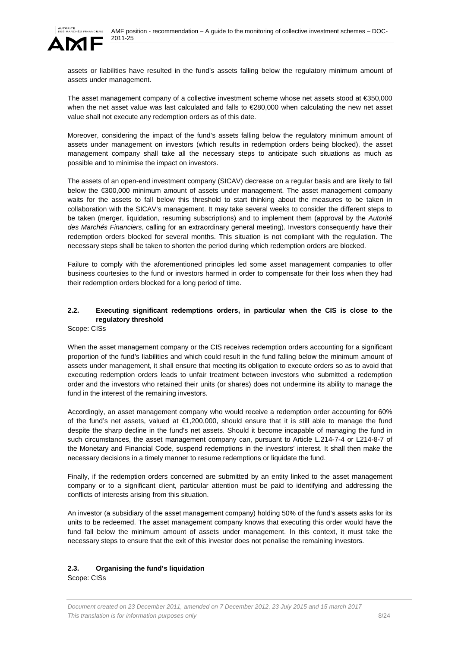

assets or liabilities have resulted in the fund's assets falling below the regulatory minimum amount of assets under management.

The asset management company of a collective investment scheme whose net assets stood at €350,000 when the net asset value was last calculated and falls to €280,000 when calculating the new net asset value shall not execute any redemption orders as of this date.

Moreover, considering the impact of the fund's assets falling below the regulatory minimum amount of assets under management on investors (which results in redemption orders being blocked), the asset management company shall take all the necessary steps to anticipate such situations as much as possible and to minimise the impact on investors.

The assets of an open-end investment company (SICAV) decrease on a regular basis and are likely to fall below the €300,000 minimum amount of assets under management. The asset management company waits for the assets to fall below this threshold to start thinking about the measures to be taken in collaboration with the SICAV's management. It may take several weeks to consider the different steps to be taken (merger, liquidation, resuming subscriptions) and to implement them (approval by the *Autorité des Marchés Financiers*, calling for an extraordinary general meeting). Investors consequently have their redemption orders blocked for several months. This situation is not compliant with the regulation. The necessary steps shall be taken to shorten the period during which redemption orders are blocked.

Failure to comply with the aforementioned principles led some asset management companies to offer business courtesies to the fund or investors harmed in order to compensate for their loss when they had their redemption orders blocked for a long period of time.

# **2.2. Executing significant redemptions orders, in particular when the CIS is close to the regulatory threshold**

Scope: CISs

When the asset management company or the CIS receives redemption orders accounting for a significant proportion of the fund's liabilities and which could result in the fund falling below the minimum amount of assets under management, it shall ensure that meeting its obligation to execute orders so as to avoid that executing redemption orders leads to unfair treatment between investors who submitted a redemption order and the investors who retained their units (or shares) does not undermine its ability to manage the fund in the interest of the remaining investors.

Accordingly, an asset management company who would receive a redemption order accounting for 60% of the fund's net assets, valued at €1,200,000, should ensure that it is still able to manage the fund despite the sharp decline in the fund's net assets. Should it become incapable of managing the fund in such circumstances, the asset management company can, pursuant to Article L.214-7-4 or L214-8-7 of the Monetary and Financial Code, suspend redemptions in the investors' interest. It shall then make the necessary decisions in a timely manner to resume redemptions or liquidate the fund.

Finally, if the redemption orders concerned are submitted by an entity linked to the asset management company or to a significant client, particular attention must be paid to identifying and addressing the conflicts of interests arising from this situation.

An investor (a subsidiary of the asset management company) holding 50% of the fund's assets asks for its units to be redeemed. The asset management company knows that executing this order would have the fund fall below the minimum amount of assets under management. In this context, it must take the necessary steps to ensure that the exit of this investor does not penalise the remaining investors.

# **2.3. Organising the fund's liquidation**

Scope: CISs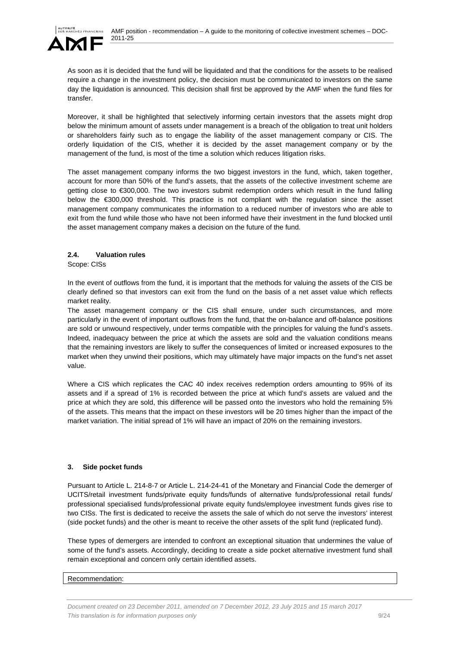

As soon as it is decided that the fund will be liquidated and that the conditions for the assets to be realised require a change in the investment policy, the decision must be communicated to investors on the same day the liquidation is announced. This decision shall first be approved by the AMF when the fund files for transfer.

Moreover, it shall be highlighted that selectively informing certain investors that the assets might drop below the minimum amount of assets under management is a breach of the obligation to treat unit holders or shareholders fairly such as to engage the liability of the asset management company or CIS. The orderly liquidation of the CIS, whether it is decided by the asset management company or by the management of the fund, is most of the time a solution which reduces litigation risks.

The asset management company informs the two biggest investors in the fund, which, taken together, account for more than 50% of the fund's assets, that the assets of the collective investment scheme are getting close to €300,000. The two investors submit redemption orders which result in the fund falling below the €300,000 threshold. This practice is not compliant with the regulation since the asset management company communicates the information to a reduced number of investors who are able to exit from the fund while those who have not been informed have their investment in the fund blocked until the asset management company makes a decision on the future of the fund.

# **2.4. Valuation rules**

Scope: CISs

In the event of outflows from the fund, it is important that the methods for valuing the assets of the CIS be clearly defined so that investors can exit from the fund on the basis of a net asset value which reflects market reality.

The asset management company or the CIS shall ensure, under such circumstances, and more particularly in the event of important outflows from the fund, that the on-balance and off-balance positions are sold or unwound respectively, under terms compatible with the principles for valuing the fund's assets. Indeed, inadequacy between the price at which the assets are sold and the valuation conditions means that the remaining investors are likely to suffer the consequences of limited or increased exposures to the market when they unwind their positions, which may ultimately have major impacts on the fund's net asset value.

Where a CIS which replicates the CAC 40 index receives redemption orders amounting to 95% of its assets and if a spread of 1% is recorded between the price at which fund's assets are valued and the price at which they are sold, this difference will be passed onto the investors who hold the remaining 5% of the assets. This means that the impact on these investors will be 20 times higher than the impact of the market variation. The initial spread of 1% will have an impact of 20% on the remaining investors.

#### **3. Side pocket funds**

Pursuant to Article L. 214-8-7 or Article L. 214-24-41 of the Monetary and Financial Code the demerger of UCITS/retail investment funds/private equity funds/funds of alternative funds/professional retail funds/ professional specialised funds/professional private equity funds/employee investment funds gives rise to two CISs. The first is dedicated to receive the assets the sale of which do not serve the investors' interest (side pocket funds) and the other is meant to receive the other assets of the split fund (replicated fund).

These types of demergers are intended to confront an exceptional situation that undermines the value of some of the fund's assets. Accordingly, deciding to create a side pocket alternative investment fund shall remain exceptional and concern only certain identified assets.

#### Recommendation: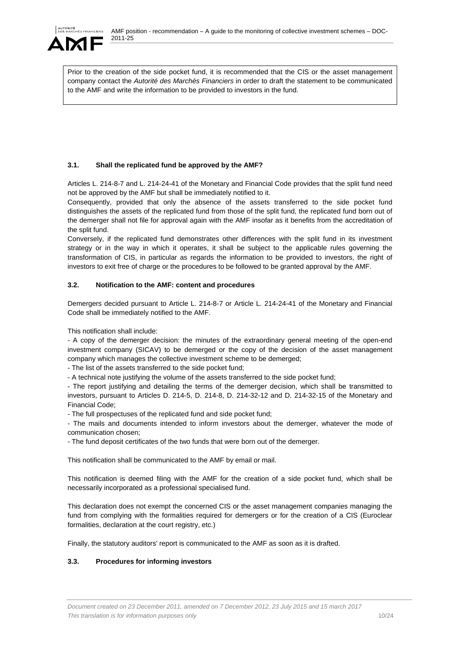

Prior to the creation of the side pocket fund, it is recommended that the CIS or the asset management company contact the *Autorité des Marchés Financiers* in order to draft the statement to be communicated to the AMF and write the information to be provided to investors in the fund.

# **3.1. Shall the replicated fund be approved by the AMF?**

Articles L. 214-8-7 and L. 214-24-41 of the Monetary and Financial Code provides that the split fund need not be approved by the AMF but shall be immediately notified to it.

Consequently, provided that only the absence of the assets transferred to the side pocket fund distinguishes the assets of the replicated fund from those of the split fund, the replicated fund born out of the demerger shall not file for approval again with the AMF insofar as it benefits from the accreditation of the split fund.

Conversely, if the replicated fund demonstrates other differences with the split fund in its investment strategy or in the way in which it operates, it shall be subject to the applicable rules governing the transformation of CIS, in particular as regards the information to be provided to investors, the right of investors to exit free of charge or the procedures to be followed to be granted approval by the AMF.

## **3.2. Notification to the AMF: content and procedures**

Demergers decided pursuant to Article L. 214-8-7 or Article L. 214-24-41 of the Monetary and Financial Code shall be immediately notified to the AMF.

This notification shall include:

- A copy of the demerger decision: the minutes of the extraordinary general meeting of the open-end investment company (SICAV) to be demerged or the copy of the decision of the asset management company which manages the collective investment scheme to be demerged;

- The list of the assets transferred to the side pocket fund;

- A technical note justifying the volume of the assets transferred to the side pocket fund;

- The report justifying and detailing the terms of the demerger decision, which shall be transmitted to investors, pursuant to Articles D. 214-5, D. 214-8, D. 214-32-12 and D. 214-32-15 of the Monetary and Financial Code;

- The full prospectuses of the replicated fund and side pocket fund;

- The mails and documents intended to inform investors about the demerger, whatever the mode of communication chosen;

- The fund deposit certificates of the two funds that were born out of the demerger.

This notification shall be communicated to the AMF by email or mail.

This notification is deemed filing with the AMF for the creation of a side pocket fund, which shall be necessarily incorporated as a professional specialised fund.

This declaration does not exempt the concerned CIS or the asset management companies managing the fund from complying with the formalities required for demergers or for the creation of a CIS (Euroclear formalities, declaration at the court registry, etc.)

Finally, the statutory auditors' report is communicated to the AMF as soon as it is drafted.

# **3.3. Procedures for informing investors**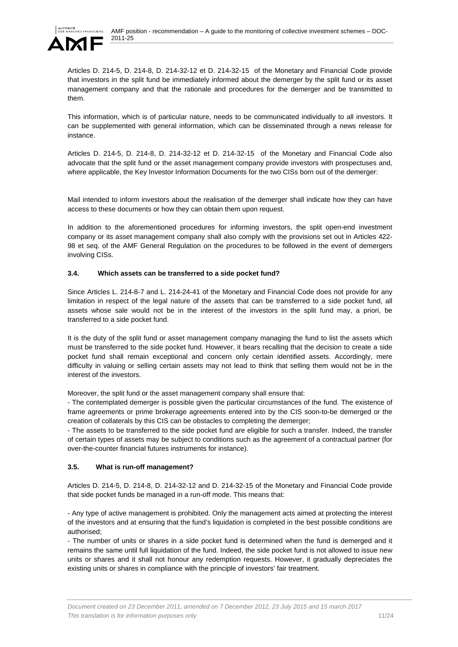

Articles D. 214-5, D. 214-8, D. 214-32-12 et D. 214-32-15 of the Monetary and Financial Code provide that investors in the split fund be immediately informed about the demerger by the split fund or its asset management company and that the rationale and procedures for the demerger and be transmitted to them.

This information, which is of particular nature, needs to be communicated individually to all investors. It can be supplemented with general information, which can be disseminated through a news release for instance.

Articles D. 214-5, D. 214-8, D. 214-32-12 et D. 214-32-15 of the Monetary and Financial Code also advocate that the split fund or the asset management company provide investors with prospectuses and, where applicable, the Key Investor Information Documents for the two CISs born out of the demerger:

Mail intended to inform investors about the realisation of the demerger shall indicate how they can have access to these documents or how they can obtain them upon request.

In addition to the aforementioned procedures for informing investors, the split open-end investment company or its asset management company shall also comply with the provisions set out in Articles 422- 98 et seq. of the AMF General Regulation on the procedures to be followed in the event of demergers involving CISs.

#### **3.4. Which assets can be transferred to a side pocket fund?**

Since Articles L. 214-8-7 and L. 214-24-41 of the Monetary and Financial Code does not provide for any limitation in respect of the legal nature of the assets that can be transferred to a side pocket fund, all assets whose sale would not be in the interest of the investors in the split fund may, a priori, be transferred to a side pocket fund.

It is the duty of the split fund or asset management company managing the fund to list the assets which must be transferred to the side pocket fund. However, it bears recalling that the decision to create a side pocket fund shall remain exceptional and concern only certain identified assets. Accordingly, mere difficulty in valuing or selling certain assets may not lead to think that selling them would not be in the interest of the investors.

Moreover, the split fund or the asset management company shall ensure that:

- The contemplated demerger is possible given the particular circumstances of the fund. The existence of frame agreements or prime brokerage agreements entered into by the CIS soon-to-be demerged or the creation of collaterals by this CIS can be obstacles to completing the demerger;

- The assets to be transferred to the side pocket fund are eligible for such a transfer. Indeed, the transfer of certain types of assets may be subject to conditions such as the agreement of a contractual partner (for over-the-counter financial futures instruments for instance).

# **3.5. What is run-off management?**

Articles D. 214-5, D. 214-8, D. 214-32-12 and D. 214-32-15 of the Monetary and Financial Code provide that side pocket funds be managed in a run-off mode. This means that:

- Any type of active management is prohibited. Only the management acts aimed at protecting the interest of the investors and at ensuring that the fund's liquidation is completed in the best possible conditions are authorised;

- The number of units or shares in a side pocket fund is determined when the fund is demerged and it remains the same until full liquidation of the fund. Indeed, the side pocket fund is not allowed to issue new units or shares and it shall not honour any redemption requests. However, it gradually depreciates the existing units or shares in compliance with the principle of investors' fair treatment.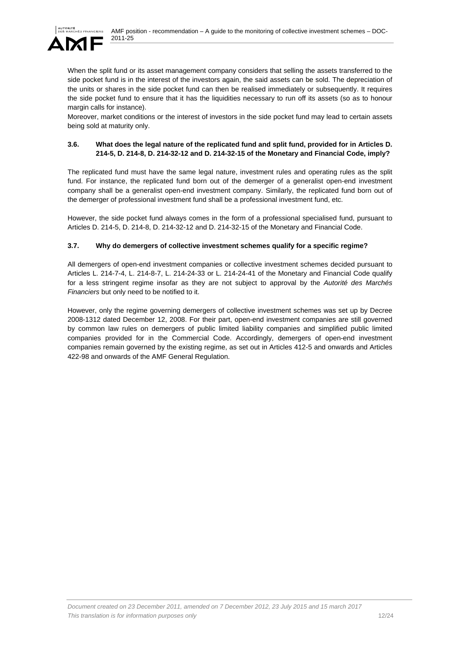

When the split fund or its asset management company considers that selling the assets transferred to the side pocket fund is in the interest of the investors again, the said assets can be sold. The depreciation of the units or shares in the side pocket fund can then be realised immediately or subsequently. It requires the side pocket fund to ensure that it has the liquidities necessary to run off its assets (so as to honour margin calls for instance).

Moreover, market conditions or the interest of investors in the side pocket fund may lead to certain assets being sold at maturity only.

## **3.6. What does the legal nature of the replicated fund and split fund, provided for in Articles D. 214-5, D. 214-8, D. 214-32-12 and D. 214-32-15 of the Monetary and Financial Code, imply?**

The replicated fund must have the same legal nature, investment rules and operating rules as the split fund. For instance, the replicated fund born out of the demerger of a generalist open-end investment company shall be a generalist open-end investment company. Similarly, the replicated fund born out of the demerger of professional investment fund shall be a professional investment fund, etc.

However, the side pocket fund always comes in the form of a professional specialised fund, pursuant to Articles D. 214-5, D. 214-8, D. 214-32-12 and D. 214-32-15 of the Monetary and Financial Code.

## **3.7. Why do demergers of collective investment schemes qualify for a specific regime?**

All demergers of open-end investment companies or collective investment schemes decided pursuant to Articles L. 214-7-4, L. 214-8-7, L. 214-24-33 or L. 214-24-41 of the Monetary and Financial Code qualify for a less stringent regime insofar as they are not subject to approval by the *Autorité des Marchés Financiers* but only need to be notified to it.

However, only the regime governing demergers of collective investment schemes was set up by Decree 2008-1312 dated December 12, 2008. For their part, open-end investment companies are still governed by common law rules on demergers of public limited liability companies and simplified public limited companies provided for in the Commercial Code. Accordingly, demergers of open-end investment companies remain governed by the existing regime, as set out in Articles 412-5 and onwards and Articles 422-98 and onwards of the AMF General Regulation.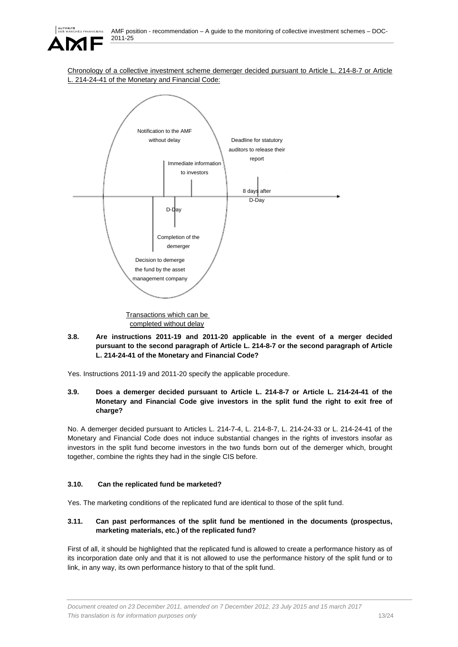

Chronology of a collective investment scheme demerger decided pursuant to Article L. 214-8-7 or Article 214-24-41 of the Monetary and Financial Code:



Transactions which can be completed without delay

### **3.8. Are instructions 2011-19 and 2011-20 applicable in the event of a merger decided pursuant to the second paragraph of Article L. 214-8-7 or the second paragraph of Article L. 214-24-41 of the Monetary and Financial Code?**

Yes. Instructions 2011-19 and 2011-20 specify the applicable procedure.

### **3.9. Does a demerger decided pursuant to Article L. 214-8-7 or Article L. 214-24-41 of the Monetary and Financial Code give investors in the split fund the right to exit free of charge?**

No. A demerger decided pursuant to Articles L. 214-7-4, L. 214-8-7, L. 214-24-33 or L. 214-24-41 of the Monetary and Financial Code does not induce substantial changes in the rights of investors insofar as investors in the split fund become investors in the two funds born out of the demerger which, brought together, combine the rights they had in the single CIS before.

# **3.10. Can the replicated fund be marketed?**

Yes. The marketing conditions of the replicated fund are identical to those of the split fund.

# **3.11. Can past performances of the split fund be mentioned in the documents (prospectus, marketing materials, etc.) of the replicated fund?**

First of all, it should be highlighted that the replicated fund is allowed to create a performance history as of its incorporation date only and that it is not allowed to use the performance history of the split fund or to link, in any way, its own performance history to that of the split fund.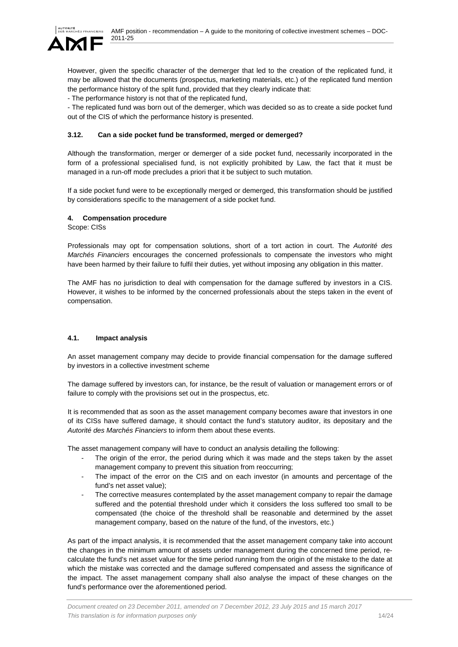However, given the specific character of the demerger that led to the creation of the replicated fund, it may be allowed that the documents (prospectus, marketing materials, etc.) of the replicated fund mention the performance history of the split fund, provided that they clearly indicate that:

- The performance history is not that of the replicated fund,

- The replicated fund was born out of the demerger, which was decided so as to create a side pocket fund out of the CIS of which the performance history is presented.

## **3.12. Can a side pocket fund be transformed, merged or demerged?**

Although the transformation, merger or demerger of a side pocket fund, necessarily incorporated in the form of a professional specialised fund, is not explicitly prohibited by Law, the fact that it must be managed in a run-off mode precludes a priori that it be subject to such mutation.

If a side pocket fund were to be exceptionally merged or demerged, this transformation should be justified by considerations specific to the management of a side pocket fund.

## **4. Compensation procedure**

Scope: CISs

Professionals may opt for compensation solutions, short of a tort action in court. The *Autorité des Marchés Financiers* encourages the concerned professionals to compensate the investors who might have been harmed by their failure to fulfil their duties, yet without imposing any obligation in this matter.

The AMF has no jurisdiction to deal with compensation for the damage suffered by investors in a CIS. However, it wishes to be informed by the concerned professionals about the steps taken in the event of compensation.

#### **4.1. Impact analysis**

An asset management company may decide to provide financial compensation for the damage suffered by investors in a collective investment scheme

The damage suffered by investors can, for instance, be the result of valuation or management errors or of failure to comply with the provisions set out in the prospectus, etc.

It is recommended that as soon as the asset management company becomes aware that investors in one of its CISs have suffered damage, it should contact the fund's statutory auditor, its depositary and the *Autorité des Marchés Financiers* to inform them about these events.

The asset management company will have to conduct an analysis detailing the following:

- The origin of the error, the period during which it was made and the steps taken by the asset management company to prevent this situation from reoccurring;
- The impact of the error on the CIS and on each investor (in amounts and percentage of the fund's net asset value);
- The corrective measures contemplated by the asset management company to repair the damage suffered and the potential threshold under which it considers the loss suffered too small to be compensated (the choice of the threshold shall be reasonable and determined by the asset management company, based on the nature of the fund, of the investors, etc.)

As part of the impact analysis, it is recommended that the asset management company take into account the changes in the minimum amount of assets under management during the concerned time period, recalculate the fund's net asset value for the time period running from the origin of the mistake to the date at which the mistake was corrected and the damage suffered compensated and assess the significance of the impact. The asset management company shall also analyse the impact of these changes on the fund's performance over the aforementioned period.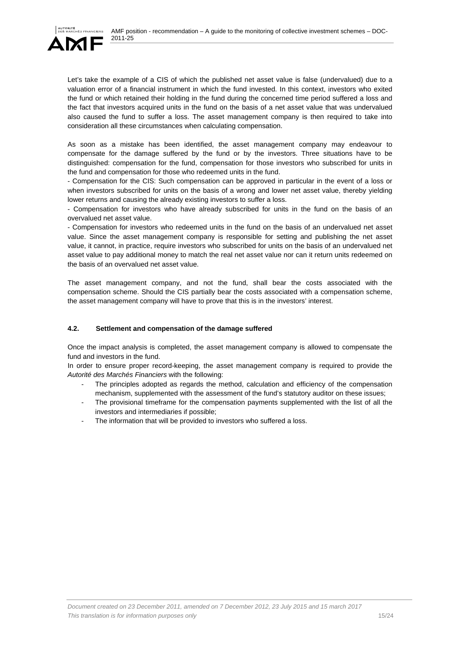

Let's take the example of a CIS of which the published net asset value is false (undervalued) due to a valuation error of a financial instrument in which the fund invested. In this context, investors who exited the fund or which retained their holding in the fund during the concerned time period suffered a loss and the fact that investors acquired units in the fund on the basis of a net asset value that was undervalued also caused the fund to suffer a loss. The asset management company is then required to take into consideration all these circumstances when calculating compensation.

As soon as a mistake has been identified, the asset management company may endeavour to compensate for the damage suffered by the fund or by the investors. Three situations have to be distinguished: compensation for the fund, compensation for those investors who subscribed for units in the fund and compensation for those who redeemed units in the fund.

- Compensation for the CIS: Such compensation can be approved in particular in the event of a loss or when investors subscribed for units on the basis of a wrong and lower net asset value, thereby yielding lower returns and causing the already existing investors to suffer a loss.

- Compensation for investors who have already subscribed for units in the fund on the basis of an overvalued net asset value.

- Compensation for investors who redeemed units in the fund on the basis of an undervalued net asset value. Since the asset management company is responsible for setting and publishing the net asset value, it cannot, in practice, require investors who subscribed for units on the basis of an undervalued net asset value to pay additional money to match the real net asset value nor can it return units redeemed on the basis of an overvalued net asset value.

The asset management company, and not the fund, shall bear the costs associated with the compensation scheme. Should the CIS partially bear the costs associated with a compensation scheme, the asset management company will have to prove that this is in the investors' interest.

# **4.2. Settlement and compensation of the damage suffered**

Once the impact analysis is completed, the asset management company is allowed to compensate the fund and investors in the fund.

In order to ensure proper record-keeping, the asset management company is required to provide the *Autorité des Marchés Financiers* with the following:

- The principles adopted as regards the method, calculation and efficiency of the compensation mechanism, supplemented with the assessment of the fund's statutory auditor on these issues;
- The provisional timeframe for the compensation payments supplemented with the list of all the investors and intermediaries if possible;
- The information that will be provided to investors who suffered a loss.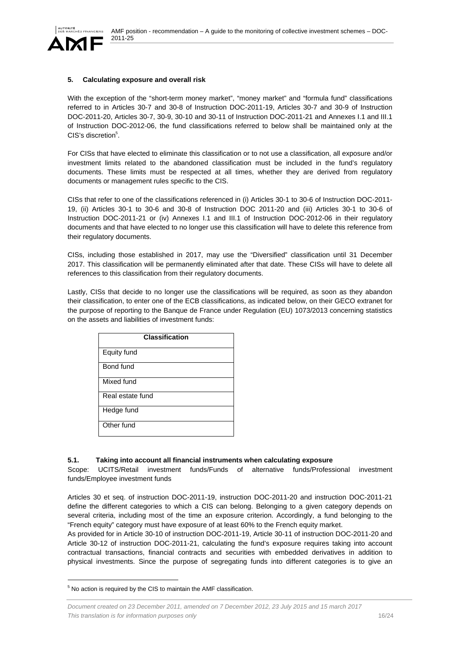

#### **5. Calculating exposure and overall risk**

With the exception of the "short-term money market", "money market" and "formula fund" classifications referred to in Articles 30-7 and 30-8 of Instruction DOC-2011-19, Articles 30-7 and 30-9 of Instruction DOC-2011-20, Articles 30-7, 30-9, 30-10 and 30-11 of Instruction DOC-2011-21 and Annexes I.1 and III.1 of Instruction DOC-2012-06, the fund classifications referred to below shall be maintained only at the CIS's discretion<sup>5</sup>.

For CISs that have elected to eliminate this classification or to not use a classification, all exposure and/or investment limits related to the abandoned classification must be included in the fund's regulatory documents. These limits must be respected at all times, whether they are derived from regulatory documents or management rules specific to the CIS.

CISs that refer to one of the classifications referenced in (i) Articles 30-1 to 30-6 of Instruction DOC-2011- 19, (ii) Articles 30-1 to 30-6 and 30-8 of Instruction DOC 2011-20 and (iii) Articles 30-1 to 30-6 of Instruction DOC-2011-21 or (iv) Annexes I.1 and III.1 of Instruction DOC-2012-06 in their regulatory documents and that have elected to no longer use this classification will have to delete this reference from their regulatory documents.

CISs, including those established in 2017, may use the "Diversified" classification until 31 December 2017. This classification will be permanently eliminated after that date. These CISs will have to delete all references to this classification from their regulatory documents.

Lastly, CISs that decide to no longer use the classifications will be required, as soon as they abandon their classification, to enter one of the ECB classifications, as indicated below, on their GECO extranet for the purpose of reporting to the Banque de France under Regulation (EU) 1073/2013 concerning statistics on the assets and liabilities of investment funds:

| <b>Classification</b> |
|-----------------------|
| Equity fund           |
| Bond fund             |
| Mixed fund            |
| Real estate fund      |
| Hedge fund            |
| Other fund            |

#### **5.1. Taking into account all financial instruments when calculating exposure**

Scope: UCITS/Retail investment funds/Funds of alternative funds/Professional investment funds/Employee investment funds

Articles 30 et seq. of instruction DOC-2011-19, instruction DOC-2011-20 and instruction DOC-2011-21 define the different categories to which a CIS can belong. Belonging to a given category depends on several criteria, including most of the time an exposure criterion. Accordingly, a fund belonging to the "French equity" category must have exposure of at least 60% to the French equity market.

As provided for in Article 30-10 of instruction DOC-2011-19, Article 30-11 of instruction DOC-2011-20 and Article 30-12 of instruction DOC-2011-21, calculating the fund's exposure requires taking into account contractual transactions, financial contracts and securities with embedded derivatives in addition to physical investments. Since the purpose of segregating funds into different categories is to give an

l

<sup>&</sup>lt;sup>5</sup> No action is required by the CIS to maintain the AMF classification.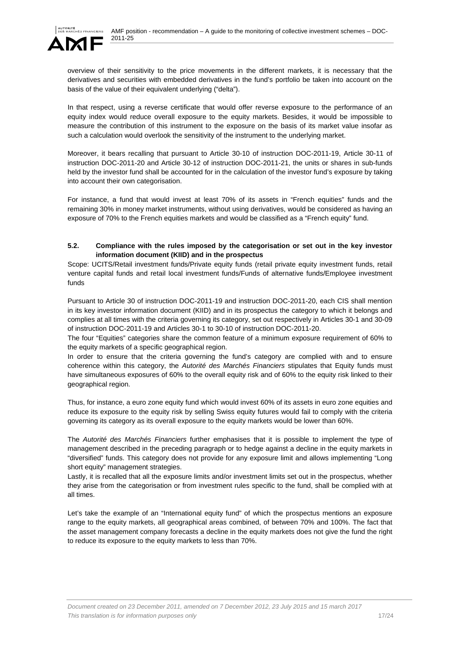

overview of their sensitivity to the price movements in the different markets, it is necessary that the derivatives and securities with embedded derivatives in the fund's portfolio be taken into account on the basis of the value of their equivalent underlying ("delta").

In that respect, using a reverse certificate that would offer reverse exposure to the performance of an equity index would reduce overall exposure to the equity markets. Besides, it would be impossible to measure the contribution of this instrument to the exposure on the basis of its market value insofar as such a calculation would overlook the sensitivity of the instrument to the underlying market.

Moreover, it bears recalling that pursuant to Article 30-10 of instruction DOC-2011-19, Article 30-11 of instruction DOC-2011-20 and Article 30-12 of instruction DOC-2011-21, the units or shares in sub-funds held by the investor fund shall be accounted for in the calculation of the investor fund's exposure by taking into account their own categorisation.

For instance, a fund that would invest at least 70% of its assets in "French equities" funds and the remaining 30% in money market instruments, without using derivatives, would be considered as having an exposure of 70% to the French equities markets and would be classified as a "French equity" fund.

### **5.2. Compliance with the rules imposed by the categorisation or set out in the key investor information document (KIID) and in the prospectus**

Scope: UCITS/Retail investment funds/Private equity funds (retail private equity investment funds, retail venture capital funds and retail local investment funds/Funds of alternative funds/Employee investment funds

Pursuant to Article 30 of instruction DOC-2011-19 and instruction DOC-2011-20, each CIS shall mention in its key investor information document (KIID) and in its prospectus the category to which it belongs and complies at all times with the criteria governing its category, set out respectively in Articles 30-1 and 30-09 of instruction DOC-2011-19 and Articles 30-1 to 30-10 of instruction DOC-2011-20.

The four "Equities" categories share the common feature of a minimum exposure requirement of 60% to the equity markets of a specific geographical region.

In order to ensure that the criteria governing the fund's category are complied with and to ensure coherence within this category, the *Autorité des Marchés Financiers* stipulates that Equity funds must have simultaneous exposures of 60% to the overall equity risk and of 60% to the equity risk linked to their geographical region.

Thus, for instance, a euro zone equity fund which would invest 60% of its assets in euro zone equities and reduce its exposure to the equity risk by selling Swiss equity futures would fail to comply with the criteria governing its category as its overall exposure to the equity markets would be lower than 60%.

The *Autorité des Marchés Financiers* further emphasises that it is possible to implement the type of management described in the preceding paragraph or to hedge against a decline in the equity markets in "diversified" funds. This category does not provide for any exposure limit and allows implementing "Long short equity" management strategies.

Lastly, it is recalled that all the exposure limits and/or investment limits set out in the prospectus, whether they arise from the categorisation or from investment rules specific to the fund, shall be complied with at all times.

Let's take the example of an "International equity fund" of which the prospectus mentions an exposure range to the equity markets, all geographical areas combined, of between 70% and 100%. The fact that the asset management company forecasts a decline in the equity markets does not give the fund the right to reduce its exposure to the equity markets to less than 70%.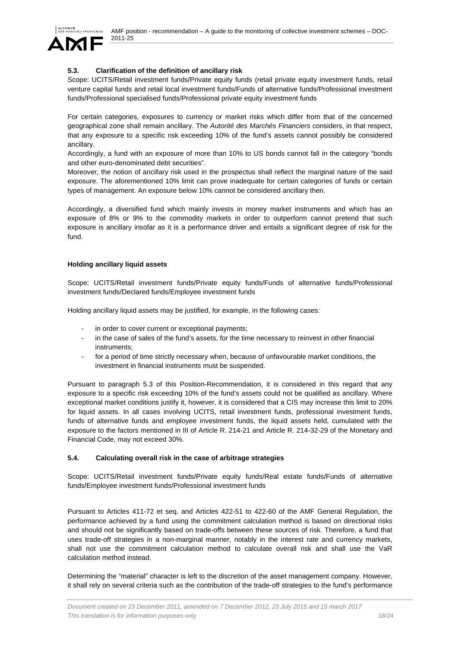

## **5.3. Clarification of the definition of ancillary risk**

Scope: UCITS/Retail investment funds/Private equity funds (retail private equity investment funds, retail venture capital funds and retail local investment funds/Funds of alternative funds/Professional investment funds/Professional specialised funds/Professional private equity investment funds

For certain categories, exposures to currency or market risks which differ from that of the concerned geographical zone shall remain ancillary. The *Autorité des Marchés Financiers* considers, in that respect, that any exposure to a specific risk exceeding 10% of the fund's assets cannot possibly be considered ancillary.

Accordingly, a fund with an exposure of more than 10% to US bonds cannot fall in the category "bonds and other euro-denominated debt securities".

Moreover, the notion of ancillary risk used in the prospectus shall reflect the marginal nature of the said exposure. The aforementioned 10% limit can prove inadequate for certain categories of funds or certain types of management. An exposure below 10% cannot be considered ancillary then.

Accordingly, a diversified fund which mainly invests in money market instruments and which has an exposure of 8% or 9% to the commodity markets in order to outperform cannot pretend that such exposure is ancillary insofar as it is a performance driver and entails a significant degree of risk for the fund.

#### **Holding ancillary liquid assets**

Scope: UCITS/Retail investment funds/Private equity funds/Funds of alternative funds/Professional investment funds/Declared funds/Employee investment funds

Holding ancillary liquid assets may be justified, for example, in the following cases:

- in order to cover current or exceptional payments;
- in the case of sales of the fund's assets, for the time necessary to reinvest in other financial instruments;
- for a period of time strictly necessary when, because of unfavourable market conditions, the investment in financial instruments must be suspended.

Pursuant to paragraph 5.3 of this Position-Recommendation, it is considered in this regard that any exposure to a specific risk exceeding 10% of the fund's assets could not be qualified as ancillary. Where exceptional market conditions justify it, however, it is considered that a CIS may increase this limit to 20% for liquid assets. In all cases involving UCITS, retail investment funds, professional investment funds, funds of alternative funds and employee investment funds, the liquid assets held, cumulated with the exposure to the factors mentioned in III of Article R. 214-21 and Article R. 214-32-29 of the Monetary and Financial Code, may not exceed 30%.

#### **5.4. Calculating overall risk in the case of arbitrage strategies**

Scope: UCITS/Retail investment funds/Private equity funds/Real estate funds/Funds of alternative funds/Employee investment funds/Professional investment funds

Pursuant to Articles 411-72 et seq. and Articles 422-51 to 422-60 of the AMF General Regulation, the performance achieved by a fund using the commitment calculation method is based on directional risks and should not be significantly based on trade-offs between these sources of risk. Therefore, a fund that uses trade-off strategies in a non-marginal manner, notably in the interest rate and currency markets, shall not use the commitment calculation method to calculate overall risk and shall use the VaR calculation method instead.

Determining the "material" character is left to the discretion of the asset management company. However, it shall rely on several criteria such as the contribution of the trade-off strategies to the fund's performance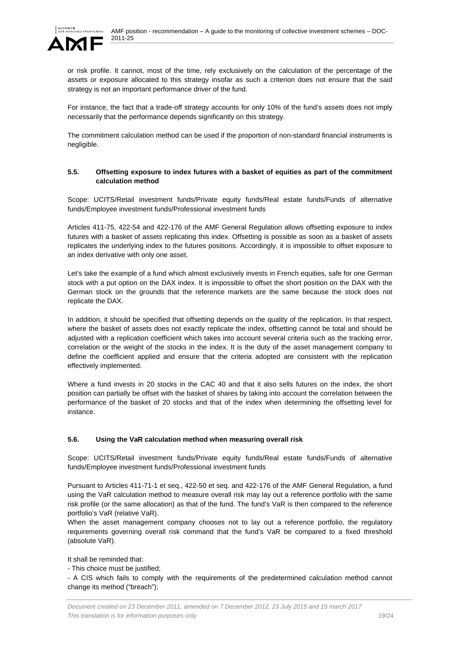

or risk profile. It cannot, most of the time, rely exclusively on the calculation of the percentage of the assets or exposure allocated to this strategy insofar as such a criterion does not ensure that the said strategy is not an important performance driver of the fund.

For instance, the fact that a trade-off strategy accounts for only 10% of the fund's assets does not imply necessarily that the performance depends significantly on this strategy.

The commitment calculation method can be used if the proportion of non-standard financial instruments is negligible.

### **5.5. Offsetting exposure to index futures with a basket of equities as part of the commitment calculation method**

Scope: UCITS/Retail investment funds/Private equity funds/Real estate funds/Funds of alternative funds/Employee investment funds/Professional investment funds

Articles 411-75, 422-54 and 422-176 of the AMF General Regulation allows offsetting exposure to index futures with a basket of assets replicating this index. Offsetting is possible as soon as a basket of assets replicates the underlying index to the futures positions. Accordingly, it is impossible to offset exposure to an index derivative with only one asset.

Let's take the example of a fund which almost exclusively invests in French equities, safe for one German stock with a put option on the DAX index. It is impossible to offset the short position on the DAX with the German stock on the grounds that the reference markets are the same because the stock does not replicate the DAX.

In addition, it should be specified that offsetting depends on the quality of the replication. In that respect, where the basket of assets does not exactly replicate the index, offsetting cannot be total and should be adjusted with a replication coefficient which takes into account several criteria such as the tracking error, correlation or the weight of the stocks in the index. It is the duty of the asset management company to define the coefficient applied and ensure that the criteria adopted are consistent with the replication effectively implemented.

Where a fund invests in 20 stocks in the CAC 40 and that it also sells futures on the index, the short position can partially be offset with the basket of shares by taking into account the correlation between the performance of the basket of 20 stocks and that of the index when determining the offsetting level for instance.

# **5.6. Using the VaR calculation method when measuring overall risk**

Scope: UCITS/Retail investment funds/Private equity funds/Real estate funds/Funds of alternative funds/Employee investment funds/Professional investment funds

Pursuant to Articles 411-71-1 et seq., 422-50 et seq. and 422-176 of the AMF General Regulation, a fund using the VaR calculation method to measure overall risk may lay out a reference portfolio with the same risk profile (or the same allocation) as that of the fund. The fund's VaR is then compared to the reference portfolio's VaR (relative VaR).

When the asset management company chooses not to lay out a reference portfolio, the regulatory requirements governing overall risk command that the fund's VaR be compared to a fixed threshold (absolute VaR).

It shall be reminded that:

- This choice must be justified;

- A CIS which fails to comply with the requirements of the predetermined calculation method cannot change its method ("breach");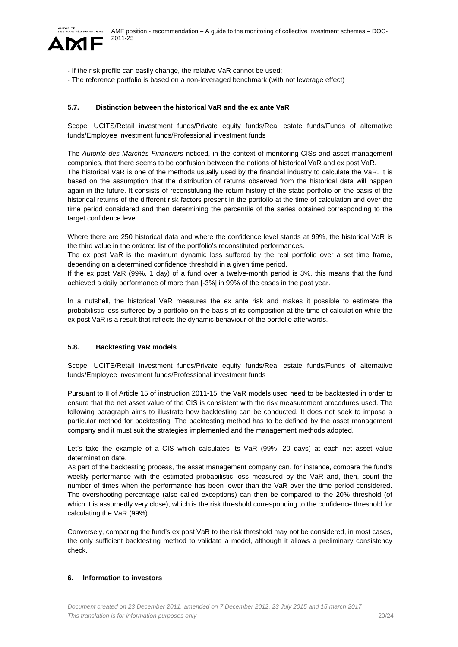

- If the risk profile can easily change, the relative VaR cannot be used;
- The reference portfolio is based on a non-leveraged benchmark (with not leverage effect)

## **5.7. Distinction between the historical VaR and the ex ante VaR**

Scope: UCITS/Retail investment funds/Private equity funds/Real estate funds/Funds of alternative funds/Employee investment funds/Professional investment funds

The *Autorité des Marchés Financiers* noticed, in the context of monitoring CISs and asset management companies, that there seems to be confusion between the notions of historical VaR and ex post VaR. The historical VaR is one of the methods usually used by the financial industry to calculate the VaR. It is based on the assumption that the distribution of returns observed from the historical data will happen again in the future. It consists of reconstituting the return history of the static portfolio on the basis of the historical returns of the different risk factors present in the portfolio at the time of calculation and over the time period considered and then determining the percentile of the series obtained corresponding to the target confidence level.

Where there are 250 historical data and where the confidence level stands at 99%, the historical VaR is the third value in the ordered list of the portfolio's reconstituted performances.

The ex post VaR is the maximum dynamic loss suffered by the real portfolio over a set time frame, depending on a determined confidence threshold in a given time period.

If the ex post VaR (99%, 1 day) of a fund over a twelve-month period is 3%, this means that the fund achieved a daily performance of more than [-3%] in 99% of the cases in the past year.

In a nutshell, the historical VaR measures the ex ante risk and makes it possible to estimate the probabilistic loss suffered by a portfolio on the basis of its composition at the time of calculation while the ex post VaR is a result that reflects the dynamic behaviour of the portfolio afterwards.

#### **5.8. Backtesting VaR models**

Scope: UCITS/Retail investment funds/Private equity funds/Real estate funds/Funds of alternative funds/Employee investment funds/Professional investment funds

Pursuant to II of Article 15 of instruction 2011-15, the VaR models used need to be backtested in order to ensure that the net asset value of the CIS is consistent with the risk measurement procedures used. The following paragraph aims to illustrate how backtesting can be conducted. It does not seek to impose a particular method for backtesting. The backtesting method has to be defined by the asset management company and it must suit the strategies implemented and the management methods adopted.

Let's take the example of a CIS which calculates its VaR (99%, 20 days) at each net asset value determination date.

As part of the backtesting process, the asset management company can, for instance, compare the fund's weekly performance with the estimated probabilistic loss measured by the VaR and, then, count the number of times when the performance has been lower than the VaR over the time period considered. The overshooting percentage (also called exceptions) can then be compared to the 20% threshold (of which it is assumedly very close), which is the risk threshold corresponding to the confidence threshold for calculating the VaR (99%)

Conversely, comparing the fund's ex post VaR to the risk threshold may not be considered, in most cases, the only sufficient backtesting method to validate a model, although it allows a preliminary consistency check.

#### **6. Information to investors**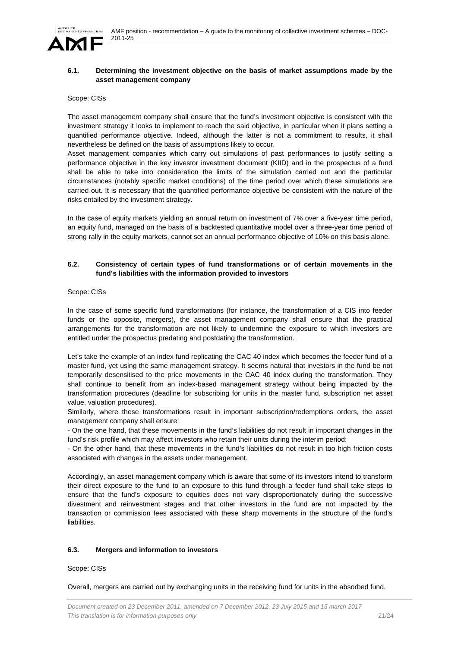

#### **6.1. Determining the investment objective on the basis of market assumptions made by the asset management company**

#### Scope: CISs

The asset management company shall ensure that the fund's investment objective is consistent with the investment strategy it looks to implement to reach the said objective, in particular when it plans setting a quantified performance objective. Indeed, although the latter is not a commitment to results, it shall nevertheless be defined on the basis of assumptions likely to occur.

Asset management companies which carry out simulations of past performances to justify setting a performance objective in the key investor investment document (KIID) and in the prospectus of a fund shall be able to take into consideration the limits of the simulation carried out and the particular circumstances (notably specific market conditions) of the time period over which these simulations are carried out. It is necessary that the quantified performance objective be consistent with the nature of the risks entailed by the investment strategy.

In the case of equity markets yielding an annual return on investment of 7% over a five-year time period, an equity fund, managed on the basis of a backtested quantitative model over a three-year time period of strong rally in the equity markets, cannot set an annual performance objective of 10% on this basis alone.

## **6.2. Consistency of certain types of fund transformations or of certain movements in the fund's liabilities with the information provided to investors**

#### Scope: CISs

In the case of some specific fund transformations (for instance, the transformation of a CIS into feeder funds or the opposite, mergers), the asset management company shall ensure that the practical arrangements for the transformation are not likely to undermine the exposure to which investors are entitled under the prospectus predating and postdating the transformation.

Let's take the example of an index fund replicating the CAC 40 index which becomes the feeder fund of a master fund, yet using the same management strategy. It seems natural that investors in the fund be not temporarily desensitised to the price movements in the CAC 40 index during the transformation. They shall continue to benefit from an index-based management strategy without being impacted by the transformation procedures (deadline for subscribing for units in the master fund, subscription net asset value, valuation procedures).

Similarly, where these transformations result in important subscription/redemptions orders, the asset management company shall ensure:

- On the one hand, that these movements in the fund's liabilities do not result in important changes in the fund's risk profile which may affect investors who retain their units during the interim period;

- On the other hand, that these movements in the fund's liabilities do not result in too high friction costs associated with changes in the assets under management.

Accordingly, an asset management company which is aware that some of its investors intend to transform their direct exposure to the fund to an exposure to this fund through a feeder fund shall take steps to ensure that the fund's exposure to equities does not vary disproportionately during the successive divestment and reinvestment stages and that other investors in the fund are not impacted by the transaction or commission fees associated with these sharp movements in the structure of the fund's liabilities.

#### **6.3. Mergers and information to investors**

#### Scope: CISs

Overall, mergers are carried out by exchanging units in the receiving fund for units in the absorbed fund.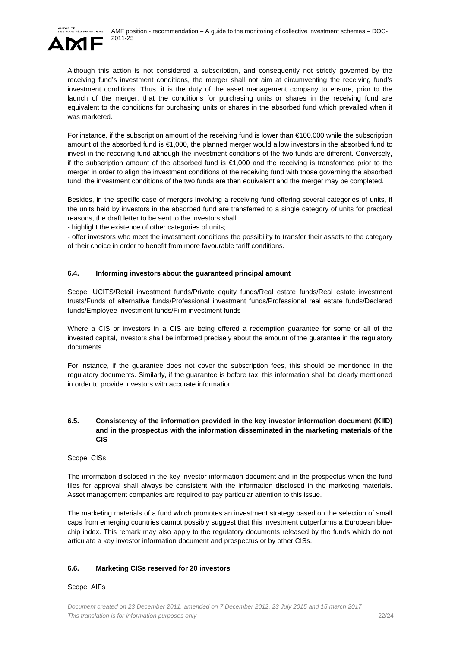



Although this action is not considered a subscription, and consequently not strictly governed by the receiving fund's investment conditions, the merger shall not aim at circumventing the receiving fund's investment conditions. Thus, it is the duty of the asset management company to ensure, prior to the launch of the merger, that the conditions for purchasing units or shares in the receiving fund are equivalent to the conditions for purchasing units or shares in the absorbed fund which prevailed when it was marketed.

For instance, if the subscription amount of the receiving fund is lower than €100,000 while the subscription amount of the absorbed fund is €1,000, the planned merger would allow investors in the absorbed fund to invest in the receiving fund although the investment conditions of the two funds are different. Conversely, if the subscription amount of the absorbed fund is €1,000 and the receiving is transformed prior to the merger in order to align the investment conditions of the receiving fund with those governing the absorbed fund, the investment conditions of the two funds are then equivalent and the merger may be completed.

Besides, in the specific case of mergers involving a receiving fund offering several categories of units, if the units held by investors in the absorbed fund are transferred to a single category of units for practical reasons, the draft letter to be sent to the investors shall:

- highlight the existence of other categories of units;

- offer investors who meet the investment conditions the possibility to transfer their assets to the category of their choice in order to benefit from more favourable tariff conditions.

## **6.4. Informing investors about the guaranteed principal amount**

Scope: UCITS/Retail investment funds/Private equity funds/Real estate funds/Real estate investment trusts/Funds of alternative funds/Professional investment funds/Professional real estate funds/Declared funds/Employee investment funds/Film investment funds

Where a CIS or investors in a CIS are being offered a redemption guarantee for some or all of the invested capital, investors shall be informed precisely about the amount of the guarantee in the regulatory documents.

For instance, if the guarantee does not cover the subscription fees, this should be mentioned in the regulatory documents. Similarly, if the guarantee is before tax, this information shall be clearly mentioned in order to provide investors with accurate information.

#### **6.5. Consistency of the information provided in the key investor information document (KIID) and in the prospectus with the information disseminated in the marketing materials of the CIS**

Scope: CISs

The information disclosed in the key investor information document and in the prospectus when the fund files for approval shall always be consistent with the information disclosed in the marketing materials. Asset management companies are required to pay particular attention to this issue.

The marketing materials of a fund which promotes an investment strategy based on the selection of small caps from emerging countries cannot possibly suggest that this investment outperforms a European bluechip index. This remark may also apply to the regulatory documents released by the funds which do not articulate a key investor information document and prospectus or by other CISs.

#### **6.6. Marketing CISs reserved for 20 investors**

Scope: AIFs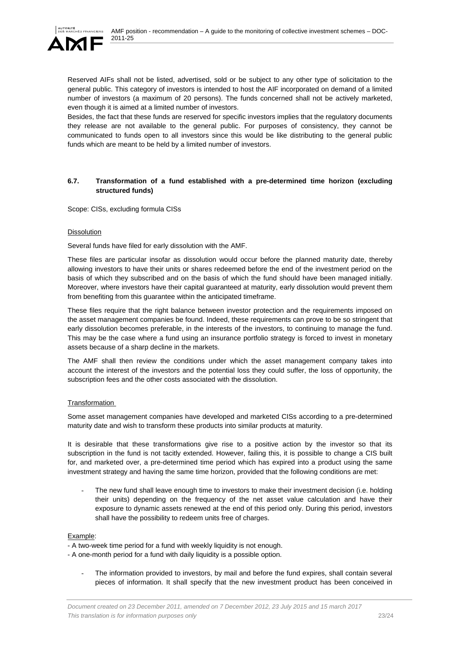

Reserved AIFs shall not be listed, advertised, sold or be subject to any other type of solicitation to the general public. This category of investors is intended to host the AIF incorporated on demand of a limited number of investors (a maximum of 20 persons). The funds concerned shall not be actively marketed, even though it is aimed at a limited number of investors.

Besides, the fact that these funds are reserved for specific investors implies that the regulatory documents they release are not available to the general public. For purposes of consistency, they cannot be communicated to funds open to all investors since this would be like distributing to the general public funds which are meant to be held by a limited number of investors.

### **6.7. Transformation of a fund established with a pre-determined time horizon (excluding structured funds)**

Scope: CISs, excluding formula CISs

#### Dissolution

Several funds have filed for early dissolution with the AMF.

These files are particular insofar as dissolution would occur before the planned maturity date, thereby allowing investors to have their units or shares redeemed before the end of the investment period on the basis of which they subscribed and on the basis of which the fund should have been managed initially. Moreover, where investors have their capital guaranteed at maturity, early dissolution would prevent them from benefiting from this guarantee within the anticipated timeframe.

These files require that the right balance between investor protection and the requirements imposed on the asset management companies be found. Indeed, these requirements can prove to be so stringent that early dissolution becomes preferable, in the interests of the investors, to continuing to manage the fund. This may be the case where a fund using an insurance portfolio strategy is forced to invest in monetary assets because of a sharp decline in the markets.

The AMF shall then review the conditions under which the asset management company takes into account the interest of the investors and the potential loss they could suffer, the loss of opportunity, the subscription fees and the other costs associated with the dissolution.

# **Transformation**

Some asset management companies have developed and marketed CISs according to a pre-determined maturity date and wish to transform these products into similar products at maturity.

It is desirable that these transformations give rise to a positive action by the investor so that its subscription in the fund is not tacitly extended. However, failing this, it is possible to change a CIS built for, and marketed over, a pre-determined time period which has expired into a product using the same investment strategy and having the same time horizon, provided that the following conditions are met:

The new fund shall leave enough time to investors to make their investment decision (i.e. holding their units) depending on the frequency of the net asset value calculation and have their exposure to dynamic assets renewed at the end of this period only. During this period, investors shall have the possibility to redeem units free of charges.

#### Example:

- A two-week time period for a fund with weekly liquidity is not enough.

- A one-month period for a fund with daily liquidity is a possible option.

The information provided to investors, by mail and before the fund expires, shall contain several pieces of information. It shall specify that the new investment product has been conceived in